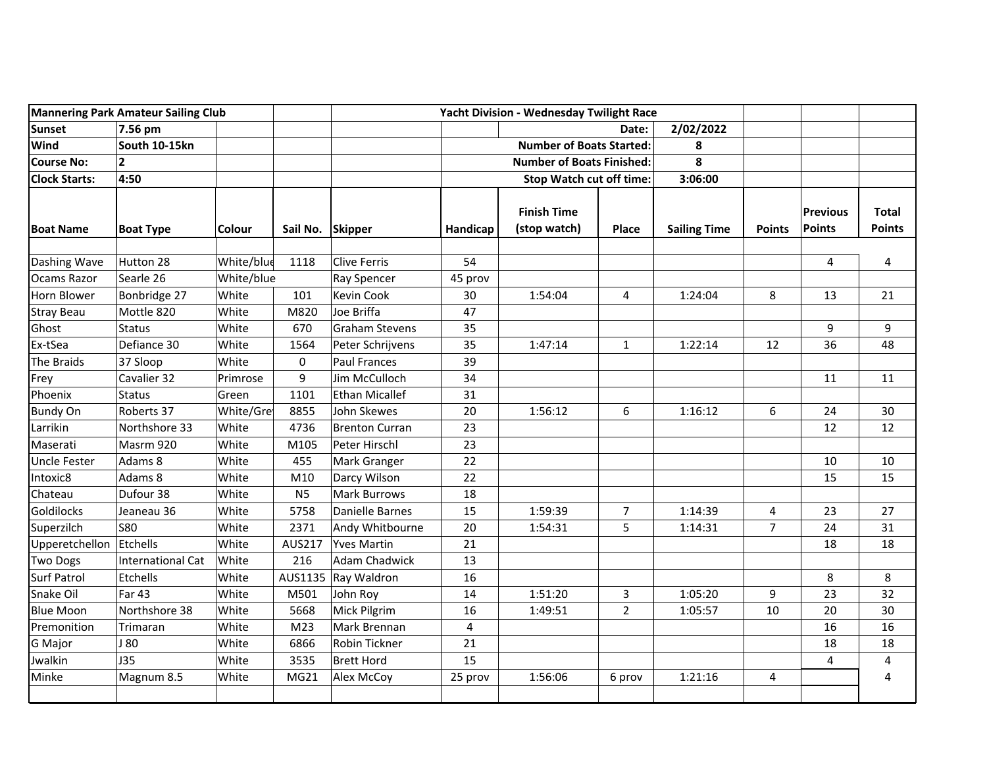| <b>Mannering Park Amateur Sailing Club</b> |                          |               | Yacht Division - Wednesday Twilight Race |                       |                                  |                                    |                |                     |                |                           |                               |
|--------------------------------------------|--------------------------|---------------|------------------------------------------|-----------------------|----------------------------------|------------------------------------|----------------|---------------------|----------------|---------------------------|-------------------------------|
| <b>Sunset</b>                              | 7.56 pm                  |               |                                          |                       |                                  | Date:                              |                | 2/02/2022           |                |                           |                               |
| <b>Wind</b>                                | South 10-15kn            |               |                                          |                       | <b>Number of Boats Started:</b>  |                                    | 8              |                     |                |                           |                               |
| <b>Course No:</b>                          | $\overline{2}$           |               |                                          |                       | <b>Number of Boats Finished:</b> |                                    |                | 8                   |                |                           |                               |
| <b>Clock Starts:</b>                       | 4:50                     |               |                                          |                       |                                  | <b>Stop Watch cut off time:</b>    |                |                     |                |                           |                               |
| <b>Boat Name</b>                           | <b>Boat Type</b>         | <b>Colour</b> | Sail No. Skipper                         |                       | Handicap                         | <b>Finish Time</b><br>(stop watch) | Place          | <b>Sailing Time</b> | <b>Points</b>  | <b>Previous</b><br>Points | <b>Total</b><br><b>Points</b> |
| Dashing Wave                               | Hutton 28                | White/blue    | 1118                                     | <b>Clive Ferris</b>   | 54                               |                                    |                |                     |                | 4                         | 4                             |
| Ocams Razor                                | Searle 26                | White/blue    |                                          | <b>Ray Spencer</b>    | 45 prov                          |                                    |                |                     |                |                           |                               |
| Horn Blower                                | Bonbridge 27             | White         | 101                                      | <b>Kevin Cook</b>     | 30                               | 1:54:04                            | 4              | 1:24:04             | 8              | 13                        | 21                            |
| <b>Stray Beau</b>                          | Mottle 820               | White         | M820                                     | Joe Briffa            | 47                               |                                    |                |                     |                |                           |                               |
| Ghost                                      | <b>Status</b>            | White         | 670                                      | <b>Graham Stevens</b> | 35                               |                                    |                |                     |                | 9                         | 9                             |
| Ex-tSea                                    | Defiance 30              | White         | 1564                                     | Peter Schrijvens      | 35                               | 1:47:14                            | $\mathbf{1}$   | 1:22:14             | 12             | 36                        | 48                            |
| The Braids                                 | 37 Sloop                 | White         | 0                                        | <b>Paul Frances</b>   | 39                               |                                    |                |                     |                |                           |                               |
| Frey                                       | Cavalier 32              | Primrose      | 9                                        | Jim McCulloch         | 34                               |                                    |                |                     |                | 11                        | 11                            |
| Phoenix                                    | <b>Status</b>            | Green         | 1101                                     | <b>Ethan Micallef</b> | 31                               |                                    |                |                     |                |                           |                               |
| <b>Bundy On</b>                            | Roberts 37               | White/Gre     | 8855                                     | John Skewes           | 20                               | 1:56:12                            | 6              | 1:16:12             | 6              | 24                        | 30                            |
| Larrikin                                   | Northshore 33            | White         | 4736                                     | <b>Brenton Curran</b> | 23                               |                                    |                |                     |                | 12                        | 12                            |
| Maserati                                   | Masrm 920                | White         | M105                                     | Peter Hirschl         | 23                               |                                    |                |                     |                |                           |                               |
| Uncle Fester                               | Adams 8                  | White         | 455                                      | Mark Granger          | 22                               |                                    |                |                     |                | 10                        | 10                            |
| Intoxic8                                   | Adams 8                  | White         | M10                                      | Darcy Wilson          | 22                               |                                    |                |                     |                | 15                        | 15                            |
| Chateau                                    | Dufour 38                | White         | N <sub>5</sub>                           | <b>Mark Burrows</b>   | 18                               |                                    |                |                     |                |                           |                               |
| <b>Goldilocks</b>                          | Jeaneau 36               | White         | 5758                                     | Danielle Barnes       | 15                               | 1:59:39                            | $\overline{7}$ | 1:14:39             | 4              | 23                        | 27                            |
| Superzilch                                 | <b>S80</b>               | White         | 2371                                     | Andy Whitbourne       | 20                               | 1:54:31                            | 5              | 1:14:31             | $\overline{7}$ | 24                        | 31                            |
| Upperetchellon                             | Etchells                 | White         | AUS217                                   | <b>Yves Martin</b>    | 21                               |                                    |                |                     |                | 18                        | 18                            |
| <b>Two Dogs</b>                            | <b>International Cat</b> | White         | 216                                      | <b>Adam Chadwick</b>  | 13                               |                                    |                |                     |                |                           |                               |
| <b>Surf Patrol</b>                         | Etchells                 | White         | AUS1135                                  | Ray Waldron           | 16                               |                                    |                |                     |                | 8                         | 8                             |
| Snake Oil                                  | <b>Far 43</b>            | White         | M501                                     | John Roy              | 14                               | 1:51:20                            | $\mathbf{3}$   | 1:05:20             | 9              | 23                        | 32                            |
| <b>Blue Moon</b>                           | Northshore 38            | White         | 5668                                     | Mick Pilgrim          | 16                               | 1:49:51                            | $\overline{2}$ | 1:05:57             | 10             | 20                        | 30                            |
| Premonition                                | Trimaran                 | White         | M <sub>23</sub>                          | Mark Brennan          | 4                                |                                    |                |                     |                | 16                        | 16                            |
| G Major                                    | J 80                     | White         | 6866                                     | Robin Tickner         | 21                               |                                    |                |                     |                | 18                        | 18                            |
| Jwalkin                                    | <b>J35</b>               | White         | 3535                                     | <b>Brett Hord</b>     | 15                               |                                    |                |                     |                | 4                         | 4                             |
| Minke                                      | Magnum 8.5               | White         | MG21                                     | Alex McCoy            | 25 prov                          | 1:56:06                            | 6 prov         | 1:21:16             | 4              |                           | 4                             |